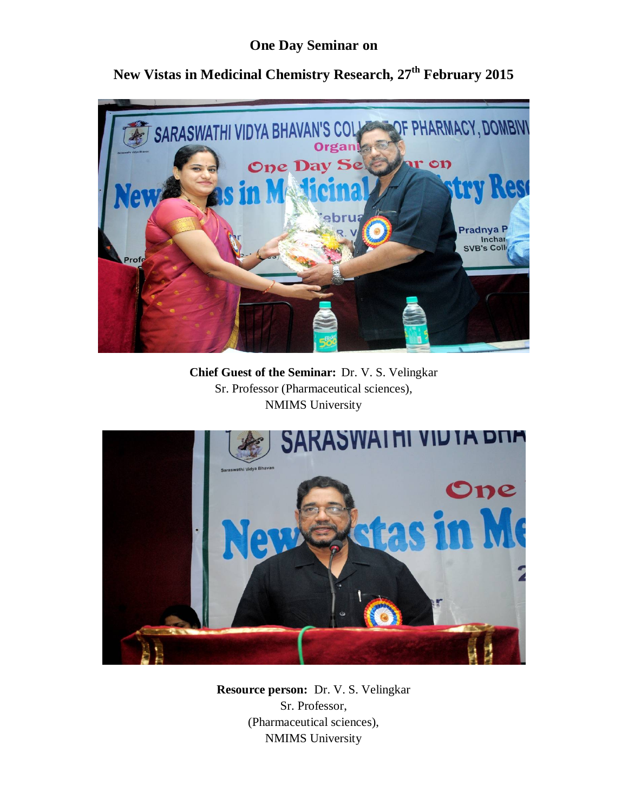## **One Day Seminar on**



**New Vistas in Medicinal Chemistry Research, 27th February 2015**

**Chief Guest of the Seminar:** Dr. V. S. Velingkar Sr. Professor (Pharmaceutical sciences), NMIMS University



**Resource person:** Dr. V. S. Velingkar Sr. Professor, (Pharmaceutical sciences), NMIMS University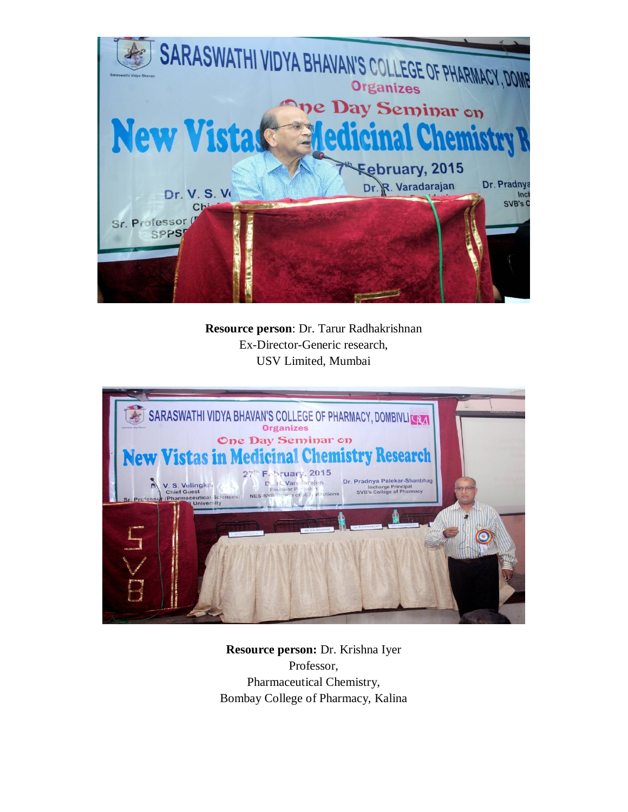

**Resource person**: Dr. Tarur Radhakrishnan Ex-Director-Generic research, USV Limited, Mumbai



**Resource person:** Dr. Krishna Iyer Professor, Pharmaceutical Chemistry, Bombay College of Pharmacy, Kalina